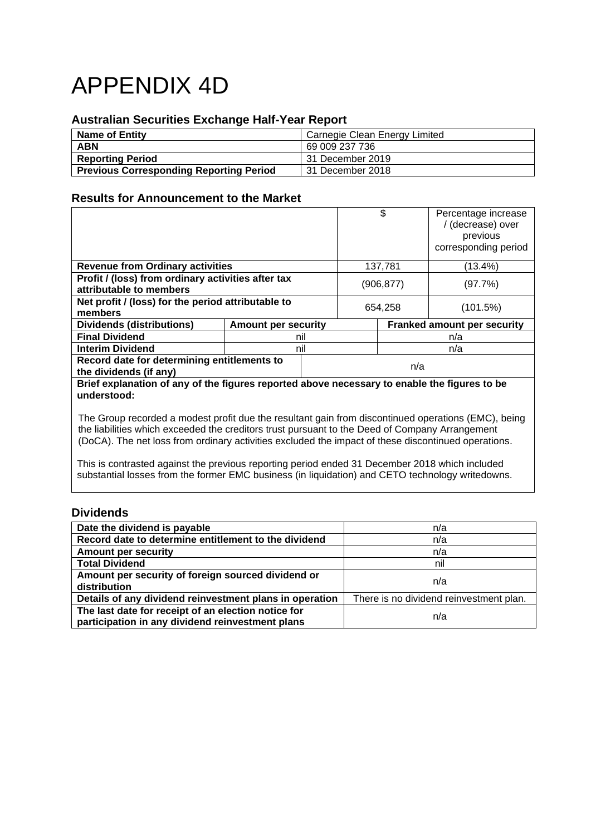# APPENDIX 4D

## **Australian Securities Exchange Half-Year Report**

| <b>Name of Entity</b>                          | Carnegie Clean Energy Limited |
|------------------------------------------------|-------------------------------|
| <b>ABN</b>                                     | 69 009 237 736                |
| <b>Reporting Period</b>                        | 31 December 2019              |
| <b>Previous Corresponding Reporting Period</b> | 31 December 2018              |

## **Results for Announcement to the Market**

|                                                                                                             |                            |            |                                    | \$       | Percentage increase<br>/ (decrease) over<br>previous<br>corresponding period |  |
|-------------------------------------------------------------------------------------------------------------|----------------------------|------------|------------------------------------|----------|------------------------------------------------------------------------------|--|
| <b>Revenue from Ordinary activities</b>                                                                     |                            |            | 137,781                            |          | (13.4%)                                                                      |  |
| Profit / (loss) from ordinary activities after tax<br>attributable to members                               |                            | (906, 877) |                                    | (97.7%)  |                                                                              |  |
| Net profit / (loss) for the period attributable to<br>members                                               |                            | 654.258    |                                    | (101.5%) |                                                                              |  |
| <b>Dividends (distributions)</b>                                                                            | <b>Amount per security</b> |            | <b>Franked amount per security</b> |          |                                                                              |  |
| <b>Final Dividend</b>                                                                                       |                            | nil        |                                    |          | n/a                                                                          |  |
| <b>Interim Dividend</b>                                                                                     |                            | nil        |                                    | n/a      |                                                                              |  |
| Record date for determining entitlements to<br>the dividends (if any)                                       |                            | n/a        |                                    |          |                                                                              |  |
| Brief explanation of any of the figures reported above necessary to enable the figures to be<br>understood: |                            |            |                                    |          |                                                                              |  |

The Group recorded a modest profit due the resultant gain from discontinued operations (EMC), being the liabilities which exceeded the creditors trust pursuant to the Deed of Company Arrangement (DoCA). The net loss from ordinary activities excluded the impact of these discontinued operations.

This is contrasted against the previous reporting period ended 31 December 2018 which included substantial losses from the former EMC business (in liquidation) and CETO technology writedowns.

## **Dividends**

| Date the dividend is payable                                                                            | n/a                                     |
|---------------------------------------------------------------------------------------------------------|-----------------------------------------|
| Record date to determine entitlement to the dividend                                                    | n/a                                     |
| <b>Amount per security</b>                                                                              | n/a                                     |
| <b>Total Dividend</b>                                                                                   | nil                                     |
| Amount per security of foreign sourced dividend or<br>distribution                                      | n/a                                     |
| Details of any dividend reinvestment plans in operation                                                 | There is no dividend reinvestment plan. |
| The last date for receipt of an election notice for<br>participation in any dividend reinvestment plans | n/a                                     |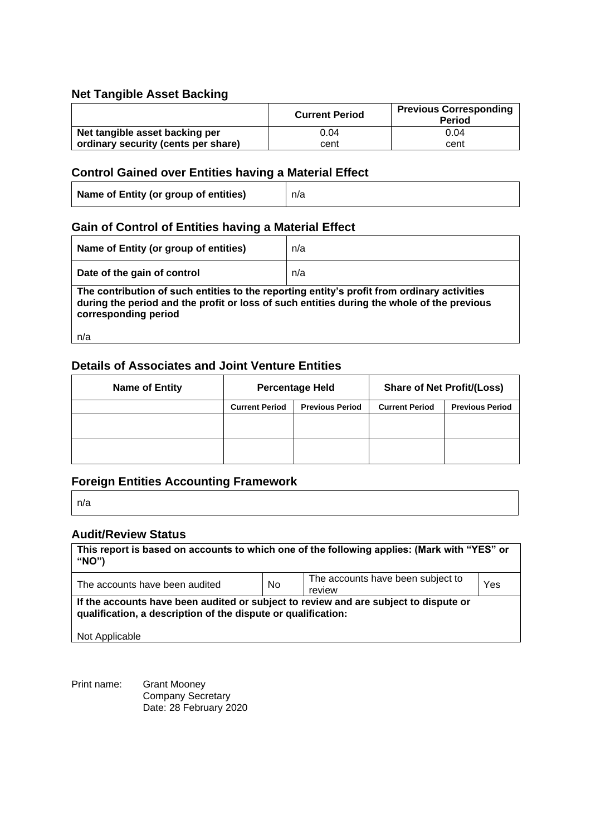## **Net Tangible Asset Backing**

|                                     | <b>Current Period</b> | <b>Previous Corresponding</b><br><b>Period</b> |
|-------------------------------------|-----------------------|------------------------------------------------|
| Net tangible asset backing per      | 0.04                  | 0.04                                           |
| ordinary security (cents per share) | cent                  | cent                                           |

## **Control Gained over Entities having a Material Effect**

| Name of Entity (or group of entities) | n/a |
|---------------------------------------|-----|
|---------------------------------------|-----|

## **Gain of Control of Entities having a Material Effect**

| Name of Entity (or group of entities)                                                                                                                                                                                    | n/a |  |  |
|--------------------------------------------------------------------------------------------------------------------------------------------------------------------------------------------------------------------------|-----|--|--|
| Date of the gain of control                                                                                                                                                                                              | n/a |  |  |
| The contribution of such entities to the reporting entity's profit from ordinary activities<br>during the period and the profit or loss of such entities during the whole of the previous<br>corresponding period<br>n/a |     |  |  |

## **Details of Associates and Joint Venture Entities**

| <b>Name of Entity</b> | <b>Percentage Held</b> |                        | <b>Share of Net Profit/(Loss)</b> |                        |
|-----------------------|------------------------|------------------------|-----------------------------------|------------------------|
|                       | <b>Current Period</b>  | <b>Previous Period</b> | <b>Current Period</b>             | <b>Previous Period</b> |
|                       |                        |                        |                                   |                        |
|                       |                        |                        |                                   |                        |
|                       |                        |                        |                                   |                        |

## **Foreign Entities Accounting Framework**

n/a

## **Audit/Review Status**

| This report is based on accounts to which one of the following applies: (Mark with "YES" or<br>"NO")                                                                    |     |                                             |     |  |
|-------------------------------------------------------------------------------------------------------------------------------------------------------------------------|-----|---------------------------------------------|-----|--|
| The accounts have been audited                                                                                                                                          | No. | The accounts have been subject to<br>review | Yes |  |
| If the accounts have been audited or subject to review and are subject to dispute or<br>qualification, a description of the dispute or qualification:<br>Not Applicable |     |                                             |     |  |

Print name: Grant Mooney Company Secretary Date: 28 February 2020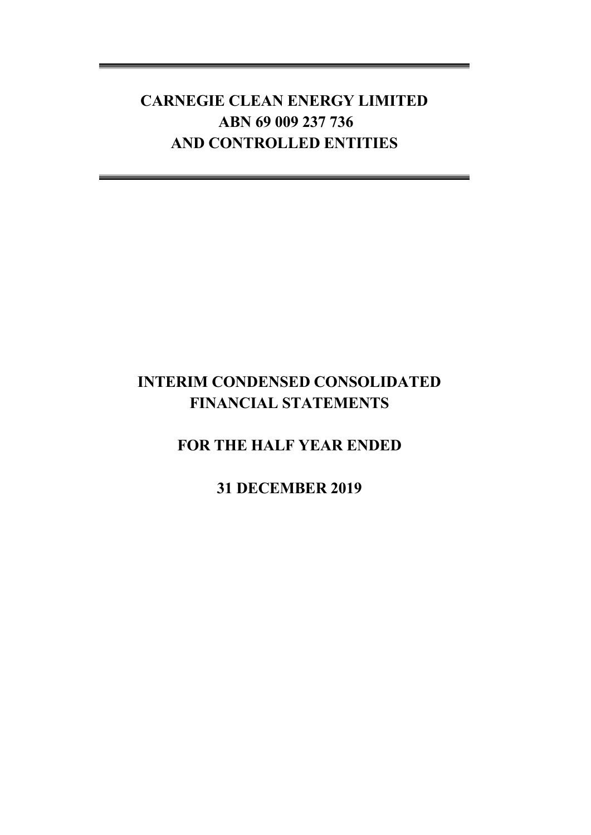## **INTERIM CONDENSED CONSOLIDATED FINANCIAL STATEMENTS**

## **FOR THE HALF YEAR ENDED**

**31 DECEMBER 2019**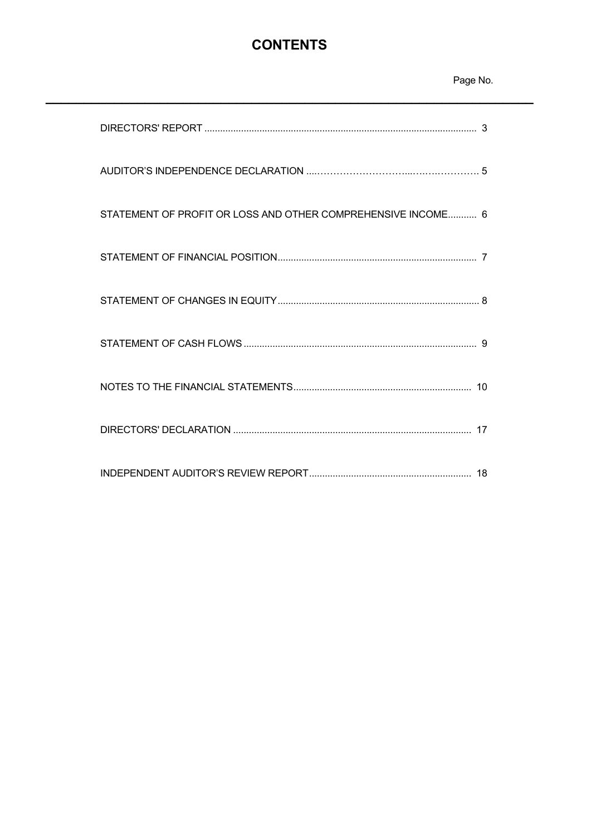## **CONTENTS**

## Page No.

| STATEMENT OF PROFIT OR LOSS AND OTHER COMPREHENSIVE INCOME 6 |
|--------------------------------------------------------------|
|                                                              |
|                                                              |
|                                                              |
|                                                              |
|                                                              |
|                                                              |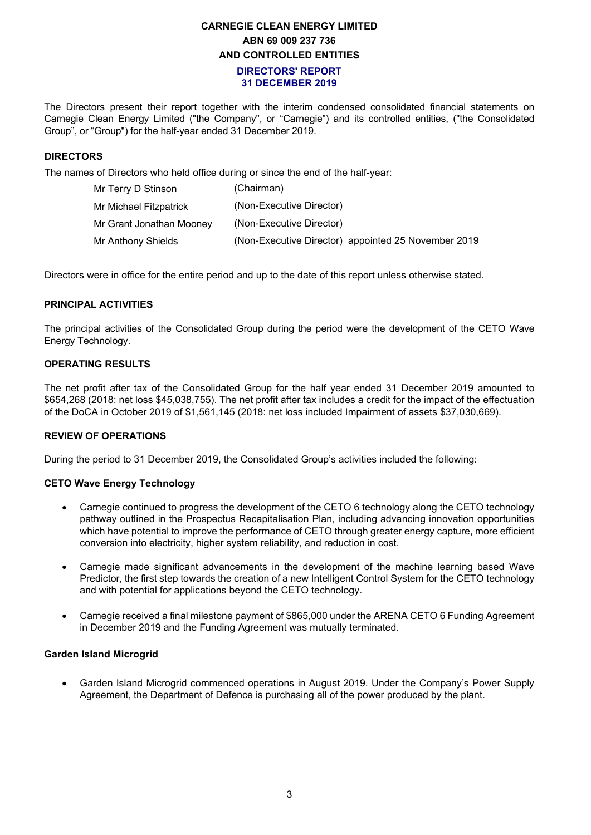#### **DIRECTORS' REPORT 31 DECEMBER 2019**

The Directors present their report together with the interim condensed consolidated financial statements on Carnegie Clean Energy Limited ("the Company", or "Carnegie") and its controlled entities, ("the Consolidated Group", or "Group") for the half-year ended 31 December 2019.

#### **DIRECTORS**

The names of Directors who held office during or since the end of the half-year:

| Mr Terry D Stinson       | (Chairman)                                          |
|--------------------------|-----------------------------------------------------|
| Mr Michael Fitzpatrick   | (Non-Executive Director)                            |
| Mr Grant Jonathan Mooney | (Non-Executive Director)                            |
| Mr Anthony Shields       | (Non-Executive Director) appointed 25 November 2019 |

Directors were in office for the entire period and up to the date of this report unless otherwise stated.

#### **PRINCIPAL ACTIVITIES**

The principal activities of the Consolidated Group during the period were the development of the CETO Wave Energy Technology.

### **OPERATING RESULTS**

The net profit after tax of the Consolidated Group for the half year ended 31 December 2019 amounted to \$654,268 (2018: net loss \$45,038,755). The net profit after tax includes a credit for the impact of the effectuation of the DoCA in October 2019 of \$1,561,145 (2018: net loss included Impairment of assets \$37,030,669).

#### **REVIEW OF OPERATIONS**

During the period to 31 December 2019, the Consolidated Group's activities included the following:

#### **CETO Wave Energy Technology**

- Carnegie continued to progress the development of the CETO 6 technology along the CETO technology pathway outlined in the Prospectus Recapitalisation Plan, including advancing innovation opportunities which have potential to improve the performance of CETO through greater energy capture, more efficient conversion into electricity, higher system reliability, and reduction in cost.
- Carnegie made significant advancements in the development of the machine learning based Wave Predictor, the first step towards the creation of a new Intelligent Control System for the CETO technology and with potential for applications beyond the CETO technology.
- Carnegie received a final milestone payment of \$865,000 under the ARENA CETO 6 Funding Agreement in December 2019 and the Funding Agreement was mutually terminated.

#### **Garden Island Microgrid**

• Garden Island Microgrid commenced operations in August 2019. Under the Company's Power Supply Agreement, the Department of Defence is purchasing all of the power produced by the plant.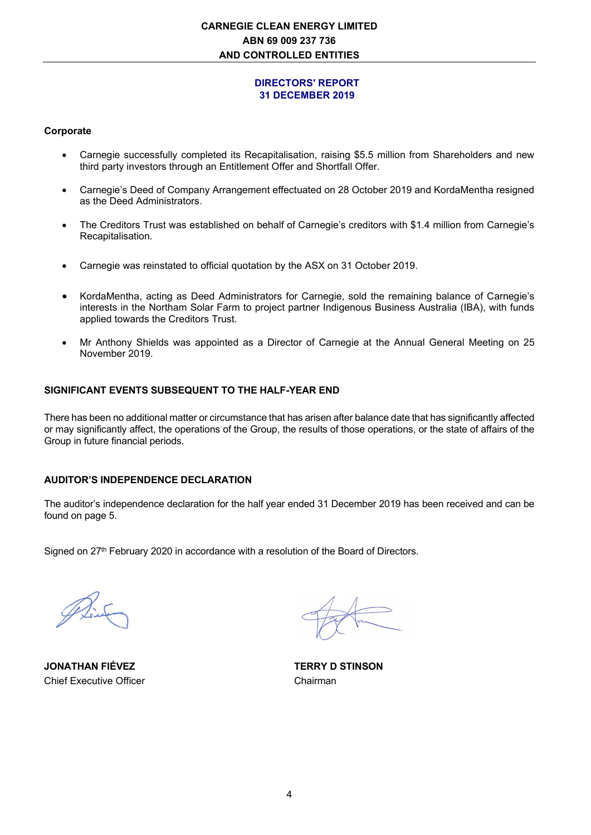#### **DIRECTORS' REPORT 31 DECEMBER 2019**

#### **Corporate**

- Carnegie successfully completed its Recapitalisation, raising \$5.5 million from Shareholders and new third party investors through an Entitlement Offer and Shortfall Offer.
- Carnegie's Deed of Company Arrangement effectuated on 28 October 2019 and KordaMentha resigned as the Deed Administrators.
- The Creditors Trust was established on behalf of Carnegie's creditors with \$1.4 million from Carnegie's Recapitalisation.
- Carnegie was reinstated to official quotation by the ASX on 31 October 2019.
- KordaMentha, acting as Deed Administrators for Carnegie, sold the remaining balance of Carnegie's interests in the Northam Solar Farm to project partner Indigenous Business Australia (IBA), with funds applied towards the Creditors Trust.
- Mr Anthony Shields was appointed as a Director of Carnegie at the Annual General Meeting on 25 November 2019.

#### **SIGNIFICANT EVENTS SUBSEQUENT TO THE HALF-YEAR END**

There has been no additional matter or circumstance that has arisen after balance date that has significantly affected or may significantly affect, the operations of the Group, the results of those operations, or the state of affairs of the Group in future financial periods.

#### **AUDITOR'S INDEPENDENCE DECLARATION**

The auditor's independence declaration for the half year ended 31 December 2019 has been received and can be found on page 5.

Signed on 27<sup>th</sup> February 2020 in accordance with a resolution of the Board of Directors.

**JONATHAN FIÉVEZ TERRY D STINSON**  Chief Executive Officer Chairman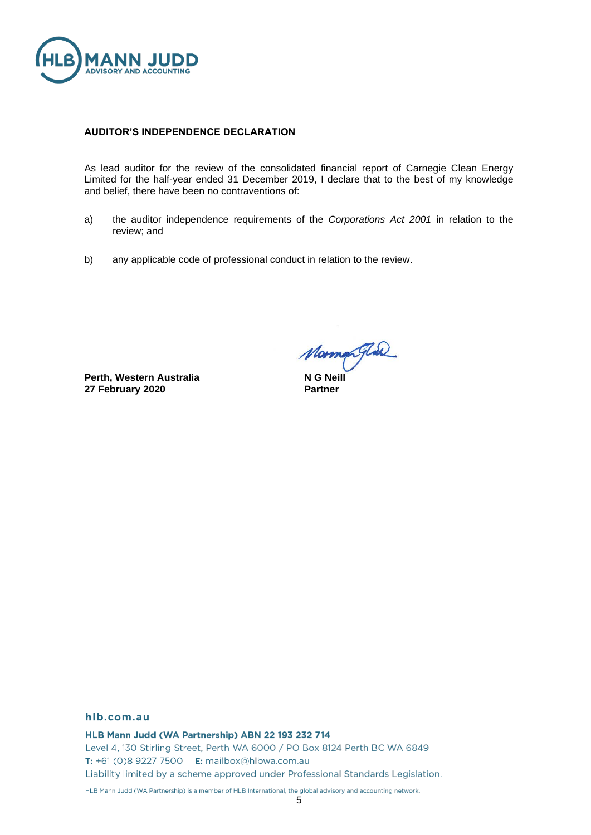

#### **AUDITOR'S INDEPENDENCE DECLARATION**

As lead auditor for the review of the consolidated financial report of Carnegie Clean Energy Limited for the half-year ended 31 December 2019, I declare that to the best of my knowledge and belief, there have been no contraventions of:

- a) the auditor independence requirements of the *Corporations Act 2001* in relation to the review; and
- b) any applicable code of professional conduct in relation to the review.

**Perth, Western Australia 27 February 2020**

*Morman Glad*<br>NG Neill

**Partner**

#### hlb.com.au

HLB Mann Judd (WA Partnership) ABN 22 193 232 714

Level 4, 130 Stirling Street, Perth WA 6000 / PO Box 8124 Perth BC WA 6849 T: +61 (0)8 9227 7500 E: mailbox@hlbwa.com.au Liability limited by a scheme approved under Professional Standards Legislation.

HLB Mann Judd (WA Partnership) is a member of HLB International, the global advisory and accounting network.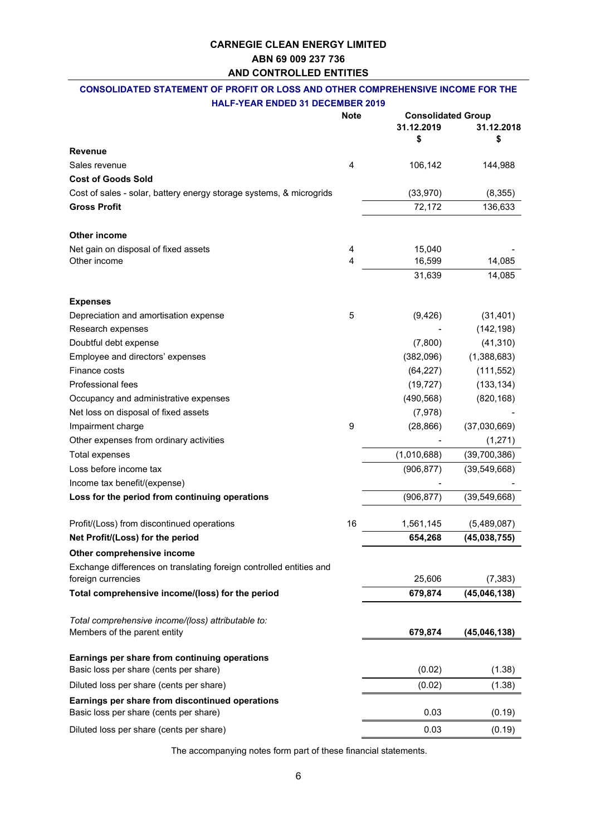## **CONSOLIDATED STATEMENT OF PROFIT OR LOSS AND OTHER COMPREHENSIVE INCOME FOR THE**

|  | <b>HALF-YEAR ENDED 31 DECEMBER 2019</b> |
|--|-----------------------------------------|
|--|-----------------------------------------|

|                                                                                           | <b>Note</b> | <b>Consolidated Group</b> |                |  |
|-------------------------------------------------------------------------------------------|-------------|---------------------------|----------------|--|
|                                                                                           |             | 31.12.2019                | 31.12.2018     |  |
|                                                                                           |             | \$                        | \$             |  |
| <b>Revenue</b>                                                                            |             |                           |                |  |
| Sales revenue                                                                             | 4           | 106,142                   | 144,988        |  |
| <b>Cost of Goods Sold</b>                                                                 |             |                           |                |  |
| Cost of sales - solar, battery energy storage systems, & microgrids                       |             | (33,970)                  | (8, 355)       |  |
| <b>Gross Profit</b>                                                                       |             | 72,172                    | 136,633        |  |
| <b>Other income</b>                                                                       |             |                           |                |  |
| Net gain on disposal of fixed assets                                                      | 4           | 15,040                    |                |  |
| Other income                                                                              | 4           | 16,599                    | 14,085         |  |
|                                                                                           |             | 31,639                    | 14,085         |  |
| <b>Expenses</b>                                                                           |             |                           |                |  |
| Depreciation and amortisation expense                                                     | 5           | (9, 426)                  | (31, 401)      |  |
| Research expenses                                                                         |             |                           | (142, 198)     |  |
| Doubtful debt expense                                                                     |             | (7,800)                   | (41, 310)      |  |
| Employee and directors' expenses                                                          |             | (382,096)                 | (1,388,683)    |  |
| Finance costs                                                                             |             | (64, 227)                 | (111, 552)     |  |
| <b>Professional fees</b>                                                                  |             | (19, 727)                 | (133, 134)     |  |
| Occupancy and administrative expenses                                                     |             | (490, 568)                | (820, 168)     |  |
| Net loss on disposal of fixed assets                                                      |             | (7, 978)                  |                |  |
| Impairment charge                                                                         | 9           | (28, 866)                 | (37,030,669)   |  |
| Other expenses from ordinary activities                                                   |             |                           | (1,271)        |  |
| <b>Total expenses</b>                                                                     |             | (1,010,688)               | (39,700,386)   |  |
| Loss before income tax                                                                    |             | (906, 877)                | (39, 549, 668) |  |
| Income tax benefit/(expense)                                                              |             |                           |                |  |
| Loss for the period from continuing operations                                            |             | (906, 877)                | (39, 549, 668) |  |
| Profit/(Loss) from discontinued operations                                                | 16          | 1,561,145                 | (5,489,087)    |  |
| Net Profit/(Loss) for the period                                                          |             | 654,268                   | (45,038,755)   |  |
| Other comprehensive income                                                                |             |                           |                |  |
| Exchange differences on translating foreign controlled entities and                       |             |                           |                |  |
| foreign currencies                                                                        |             | 25,606                    | (7, 383)       |  |
| Total comprehensive income/(loss) for the period                                          |             | 679,874                   | (45, 046, 138) |  |
| Total comprehensive income/(loss) attributable to:                                        |             |                           |                |  |
| Members of the parent entity                                                              |             | 679,874                   | (45,046,138)   |  |
| Earnings per share from continuing operations                                             |             |                           |                |  |
| Basic loss per share (cents per share)                                                    |             | (0.02)                    | (1.38)         |  |
| Diluted loss per share (cents per share)                                                  |             | (0.02)                    | (1.38)         |  |
| Earnings per share from discontinued operations<br>Basic loss per share (cents per share) |             | 0.03                      | (0.19)         |  |
| Diluted loss per share (cents per share)                                                  |             | 0.03                      | (0.19)         |  |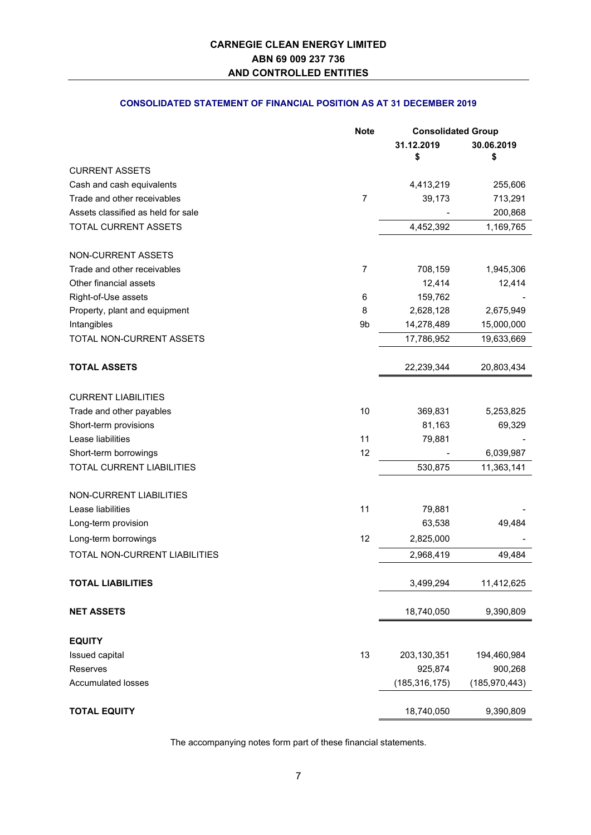### **CONSOLIDATED STATEMENT OF FINANCIAL POSITION AS AT 31 DECEMBER 2019**

|                                    | <b>Note</b>    | <b>Consolidated Group</b> |                 |
|------------------------------------|----------------|---------------------------|-----------------|
|                                    |                | 31.12.2019                | 30.06.2019      |
|                                    |                | \$                        | \$              |
| <b>CURRENT ASSETS</b>              |                |                           |                 |
| Cash and cash equivalents          |                | 4,413,219                 | 255,606         |
| Trade and other receivables        | $\overline{7}$ | 39,173                    | 713,291         |
| Assets classified as held for sale |                |                           | 200,868         |
| TOTAL CURRENT ASSETS               |                | 4,452,392                 | 1,169,765       |
| NON-CURRENT ASSETS                 |                |                           |                 |
| Trade and other receivables        | $\overline{7}$ | 708,159                   | 1,945,306       |
| Other financial assets             |                | 12,414                    | 12,414          |
| Right-of-Use assets                | 6              | 159,762                   |                 |
| Property, plant and equipment      | 8              | 2,628,128                 | 2,675,949       |
| Intangibles                        | 9b             | 14,278,489                | 15,000,000      |
| TOTAL NON-CURRENT ASSETS           |                | 17,786,952                | 19,633,669      |
| <b>TOTAL ASSETS</b>                |                | 22,239,344                | 20,803,434      |
| <b>CURRENT LIABILITIES</b>         |                |                           |                 |
| Trade and other payables           | 10             | 369,831                   | 5,253,825       |
| Short-term provisions              |                | 81,163                    | 69,329          |
| Lease liabilities                  | 11             | 79,881                    |                 |
| Short-term borrowings              | 12             |                           | 6,039,987       |
| TOTAL CURRENT LIABILITIES          |                | 530,875                   | 11,363,141      |
| NON-CURRENT LIABILITIES            |                |                           |                 |
| Lease liabilities                  | 11             | 79,881                    |                 |
| Long-term provision                |                | 63,538                    | 49,484          |
| Long-term borrowings               | 12             | 2,825,000                 |                 |
| TOTAL NON-CURRENT LIABILITIES      |                | 2,968,419                 | 49,484          |
| <b>TOTAL LIABILITIES</b>           |                | 3,499,294                 | 11,412,625      |
| <b>NET ASSETS</b>                  |                | 18,740,050                | 9,390,809       |
| <b>EQUITY</b>                      |                |                           |                 |
| Issued capital                     | 13             | 203,130,351               | 194,460,984     |
| Reserves                           |                | 925,874                   | 900,268         |
| <b>Accumulated losses</b>          |                | (185, 316, 175)           | (185, 970, 443) |
| <b>TOTAL EQUITY</b>                |                | 18,740,050                | 9,390,809       |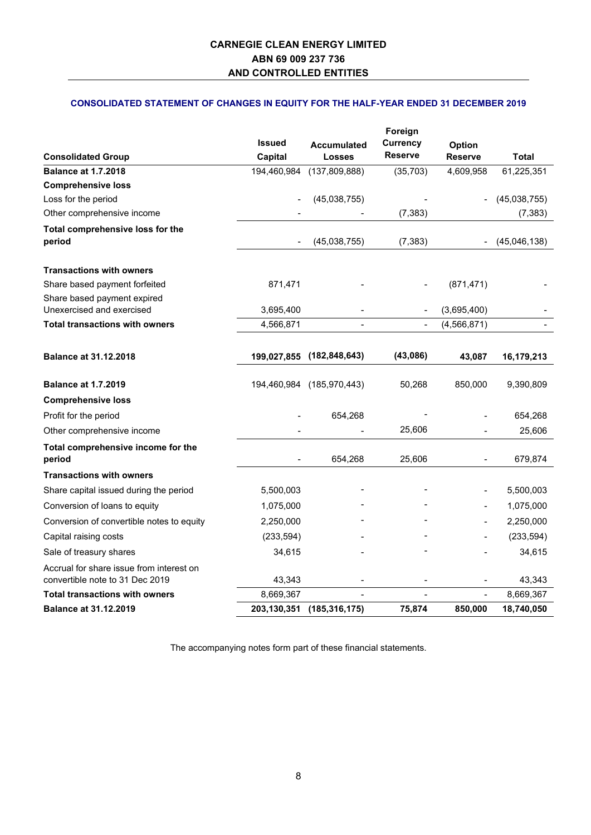## **CONSOLIDATED STATEMENT OF CHANGES IN EQUITY FOR THE HALF-YEAR ENDED 31 DECEMBER 2019**

|                                                  |               |                           | Foreign                           |                |              |
|--------------------------------------------------|---------------|---------------------------|-----------------------------------|----------------|--------------|
|                                                  | <b>Issued</b> | <b>Accumulated</b>        | <b>Currency</b><br><b>Reserve</b> | Option         |              |
| <b>Consolidated Group</b>                        | Capital       | <b>Losses</b>             |                                   | <b>Reserve</b> | Total        |
| <b>Balance at 1.7.2018</b>                       | 194,460,984   | (137, 809, 888)           | (35, 703)                         | 4,609,958      | 61,225,351   |
| <b>Comprehensive loss</b><br>Loss for the period |               | (45,038,755)              |                                   |                | (45,038,755) |
| Other comprehensive income                       |               |                           | (7, 383)                          |                | (7, 383)     |
| Total comprehensive loss for the                 |               |                           |                                   |                |              |
| period                                           |               | (45,038,755)              | (7, 383)                          |                | (45,046,138) |
| <b>Transactions with owners</b>                  |               |                           |                                   |                |              |
| Share based payment forfeited                    | 871,471       |                           |                                   | (871, 471)     |              |
| Share based payment expired                      |               |                           |                                   |                |              |
| Unexercised and exercised                        | 3,695,400     |                           | $\qquad \qquad \blacksquare$      | (3,695,400)    |              |
| <b>Total transactions with owners</b>            | 4,566,871     |                           | $\blacksquare$                    | (4, 566, 871)  |              |
|                                                  |               |                           |                                   |                |              |
| <b>Balance at 31.12.2018</b>                     | 199,027,855   | (182, 848, 643)           | (43,086)                          | 43,087         | 16,179,213   |
| <b>Balance at 1.7.2019</b>                       |               | 194,460,984 (185,970,443) | 50,268                            | 850,000        | 9,390,809    |
| <b>Comprehensive loss</b>                        |               |                           |                                   |                |              |
| Profit for the period                            |               | 654,268                   |                                   |                | 654,268      |
| Other comprehensive income                       |               |                           | 25,606                            |                | 25,606       |
| Total comprehensive income for the<br>period     |               | 654,268                   | 25,606                            |                | 679,874      |
| <b>Transactions with owners</b>                  |               |                           |                                   |                |              |
| Share capital issued during the period           | 5,500,003     |                           |                                   |                | 5,500,003    |
| Conversion of loans to equity                    | 1,075,000     |                           |                                   | $\blacksquare$ | 1,075,000    |
| Conversion of convertible notes to equity        | 2,250,000     |                           |                                   |                | 2,250,000    |
| Capital raising costs                            | (233, 594)    |                           |                                   |                | (233, 594)   |
| Sale of treasury shares                          | 34,615        |                           |                                   |                | 34,615       |
| Accrual for share issue from interest on         |               |                           |                                   |                |              |
| convertible note to 31 Dec 2019                  | 43,343        |                           |                                   |                | 43,343       |
| <b>Total transactions with owners</b>            | 8,669,367     |                           |                                   | $\frac{1}{2}$  | 8,669,367    |
| <b>Balance at 31.12.2019</b>                     | 203, 130, 351 | (185, 316, 175)           | 75,874                            | 850,000        | 18,740,050   |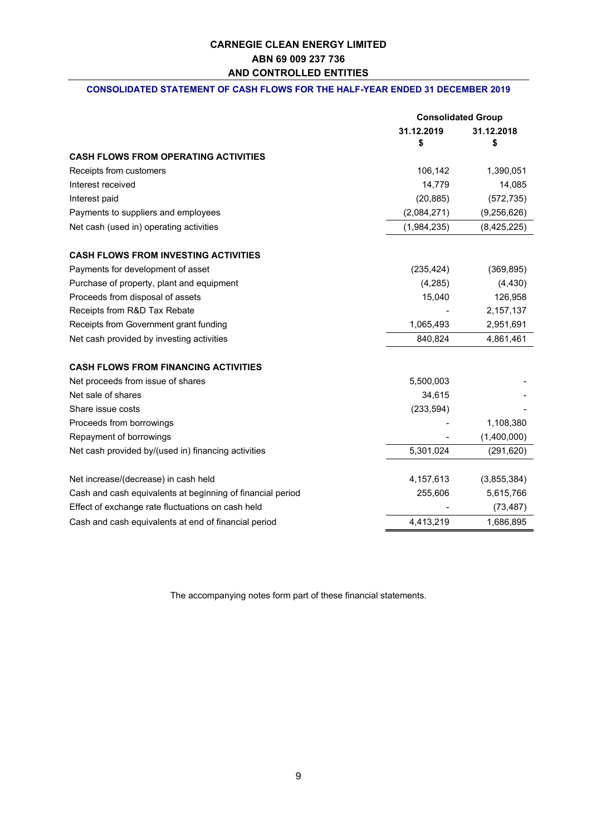#### **CONSOLIDATED STATEMENT OF CASH FLOWS FOR THE HALF-YEAR ENDED 31 DECEMBER 2019**

|                                                            | <b>Consolidated Group</b> |                  |
|------------------------------------------------------------|---------------------------|------------------|
|                                                            | 31.12.2019<br>\$          | 31.12.2018<br>\$ |
| <b>CASH FLOWS FROM OPERATING ACTIVITIES</b>                |                           |                  |
| Receipts from customers                                    | 106,142                   | 1,390,051        |
| Interest received                                          | 14,779                    | 14,085           |
| Interest paid                                              | (20, 885)                 | (572, 735)       |
| Payments to suppliers and employees                        | (2,084,271)               | (9,256,626)      |
| Net cash (used in) operating activities                    | (1,984,235)               | (8, 425, 225)    |
| <b>CASH FLOWS FROM INVESTING ACTIVITIES</b>                |                           |                  |
| Payments for development of asset                          | (235, 424)                | (369, 895)       |
| Purchase of property, plant and equipment                  | (4, 285)                  | (4, 430)         |
| Proceeds from disposal of assets                           | 15,040                    | 126,958          |
| Receipts from R&D Tax Rebate                               |                           | 2,157,137        |
| Receipts from Government grant funding                     | 1,065,493                 | 2,951,691        |
| Net cash provided by investing activities                  | 840,824                   | 4,861,461        |
| <b>CASH FLOWS FROM FINANCING ACTIVITIES</b>                |                           |                  |
| Net proceeds from issue of shares                          | 5,500,003                 |                  |
| Net sale of shares                                         | 34,615                    |                  |
| Share issue costs                                          | (233, 594)                |                  |
| Proceeds from borrowings                                   |                           | 1,108,380        |
| Repayment of borrowings                                    |                           | (1,400,000)      |
| Net cash provided by/(used in) financing activities        | 5,301,024                 | (291, 620)       |
| Net increase/(decrease) in cash held                       | 4,157,613                 | (3,855,384)      |
| Cash and cash equivalents at beginning of financial period | 255,606                   | 5,615,766        |
| Effect of exchange rate fluctuations on cash held          |                           | (73, 487)        |
| Cash and cash equivalents at end of financial period       | 4,413,219                 | 1,686,895        |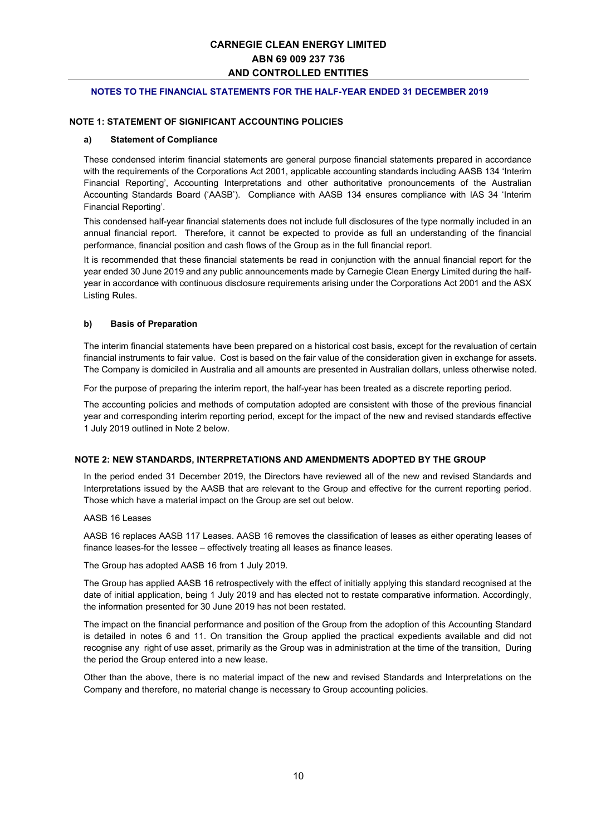#### **NOTES TO THE FINANCIAL STATEMENTS FOR THE HALF-YEAR ENDED 31 DECEMBER 2019**

#### **NOTE 1: STATEMENT OF SIGNIFICANT ACCOUNTING POLICIES**

#### **a) Statement of Compliance**

These condensed interim financial statements are general purpose financial statements prepared in accordance with the requirements of the Corporations Act 2001, applicable accounting standards including AASB 134 'Interim Financial Reporting', Accounting Interpretations and other authoritative pronouncements of the Australian Accounting Standards Board ('AASB'). Compliance with AASB 134 ensures compliance with IAS 34 'Interim Financial Reporting'.

This condensed half-year financial statements does not include full disclosures of the type normally included in an annual financial report. Therefore, it cannot be expected to provide as full an understanding of the financial performance, financial position and cash flows of the Group as in the full financial report.

It is recommended that these financial statements be read in conjunction with the annual financial report for the year ended 30 June 2019 and any public announcements made by Carnegie Clean Energy Limited during the halfyear in accordance with continuous disclosure requirements arising under the Corporations Act 2001 and the ASX Listing Rules.

#### **b) Basis of Preparation**

The interim financial statements have been prepared on a historical cost basis, except for the revaluation of certain financial instruments to fair value. Cost is based on the fair value of the consideration given in exchange for assets. The Company is domiciled in Australia and all amounts are presented in Australian dollars, unless otherwise noted.

For the purpose of preparing the interim report, the half-year has been treated as a discrete reporting period.

The accounting policies and methods of computation adopted are consistent with those of the previous financial year and corresponding interim reporting period, except for the impact of the new and revised standards effective 1 July 2019 outlined in Note 2 below.

#### **NOTE 2: NEW STANDARDS, INTERPRETATIONS AND AMENDMENTS ADOPTED BY THE GROUP**

In the period ended 31 December 2019, the Directors have reviewed all of the new and revised Standards and Interpretations issued by the AASB that are relevant to the Group and effective for the current reporting period. Those which have a material impact on the Group are set out below.

#### AASB 16 Leases

AASB 16 replaces AASB 117 Leases. AASB 16 removes the classification of leases as either operating leases of finance leases-for the lessee – effectively treating all leases as finance leases.

The Group has adopted AASB 16 from 1 July 2019.

The Group has applied AASB 16 retrospectively with the effect of initially applying this standard recognised at the date of initial application, being 1 July 2019 and has elected not to restate comparative information. Accordingly, the information presented for 30 June 2019 has not been restated.

The impact on the financial performance and position of the Group from the adoption of this Accounting Standard is detailed in notes 6 and 11. On transition the Group applied the practical expedients available and did not recognise any right of use asset, primarily as the Group was in administration at the time of the transition, During the period the Group entered into a new lease.

Other than the above, there is no material impact of the new and revised Standards and Interpretations on the Company and therefore, no material change is necessary to Group accounting policies.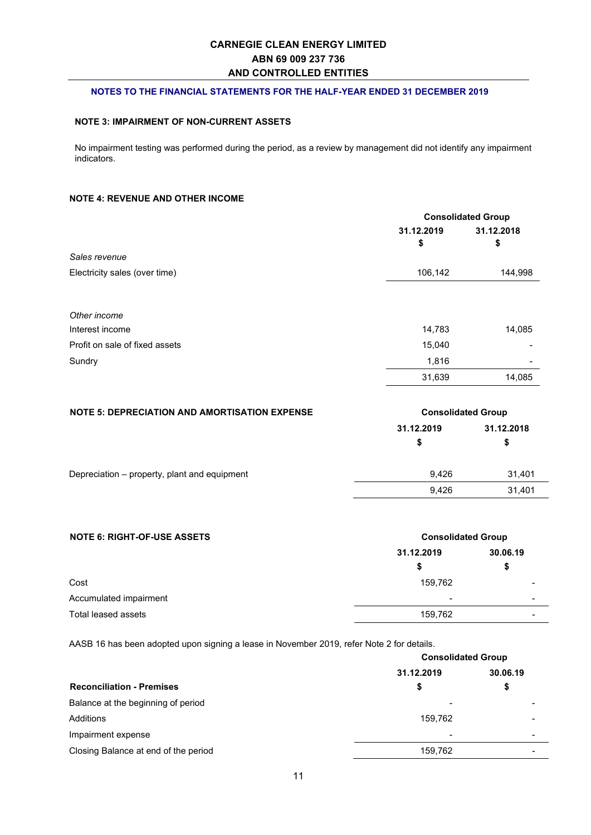#### **NOTES TO THE FINANCIAL STATEMENTS FOR THE HALF-YEAR ENDED 31 DECEMBER 2019**

#### **NOTE 3: IMPAIRMENT OF NON-CURRENT ASSETS**

No impairment testing was performed during the period, as a review by management did not identify any impairment indicators.

#### **NOTE 4: REVENUE AND OTHER INCOME**

|                                                | <b>Consolidated Group</b> |                          |
|------------------------------------------------|---------------------------|--------------------------|
|                                                | 31.12.2019                | 31.12.2018               |
|                                                | \$                        | \$                       |
| Sales revenue<br>Electricity sales (over time) |                           | 144,998                  |
|                                                | 106,142                   |                          |
|                                                |                           |                          |
| Other income                                   |                           |                          |
| Interest income                                | 14,783                    | 14,085                   |
| Profit on sale of fixed assets                 | 15,040                    |                          |
| Sundry                                         | 1,816                     | $\overline{\phantom{a}}$ |
|                                                | 31,639                    | 14,085                   |

| <b>NOTE 5: DEPRECIATION AND AMORTISATION EXPENSE</b> | <b>Consolidated Group</b> |            |
|------------------------------------------------------|---------------------------|------------|
|                                                      | 31.12.2019                | 31.12.2018 |
|                                                      | S                         | S          |
| Depreciation - property, plant and equipment         | 9.426                     | 31.401     |
|                                                      | 9.426                     | 31.401     |

| <b>NOTE 6: RIGHT-OF-USE ASSETS</b> | <b>Consolidated Group</b> |                          |  |
|------------------------------------|---------------------------|--------------------------|--|
|                                    | 31.12.2019                | 30.06.19                 |  |
|                                    | S                         | \$                       |  |
| Cost                               | 159,762                   |                          |  |
| Accumulated impairment             | -                         | $\overline{\phantom{0}}$ |  |
| Total leased assets                | 159,762                   | $\overline{\phantom{0}}$ |  |

AASB 16 has been adopted upon signing a lease in November 2019, refer Note 2 for details.

|                                      | <b>Consolidated Group</b> |                          |  |
|--------------------------------------|---------------------------|--------------------------|--|
|                                      | 31.12.2019                | 30.06.19                 |  |
| <b>Reconciliation - Premises</b>     | \$                        | \$                       |  |
| Balance at the beginning of period   |                           |                          |  |
| Additions                            | 159,762                   |                          |  |
| Impairment expense                   |                           | -                        |  |
| Closing Balance at end of the period | 159,762                   | $\overline{\phantom{0}}$ |  |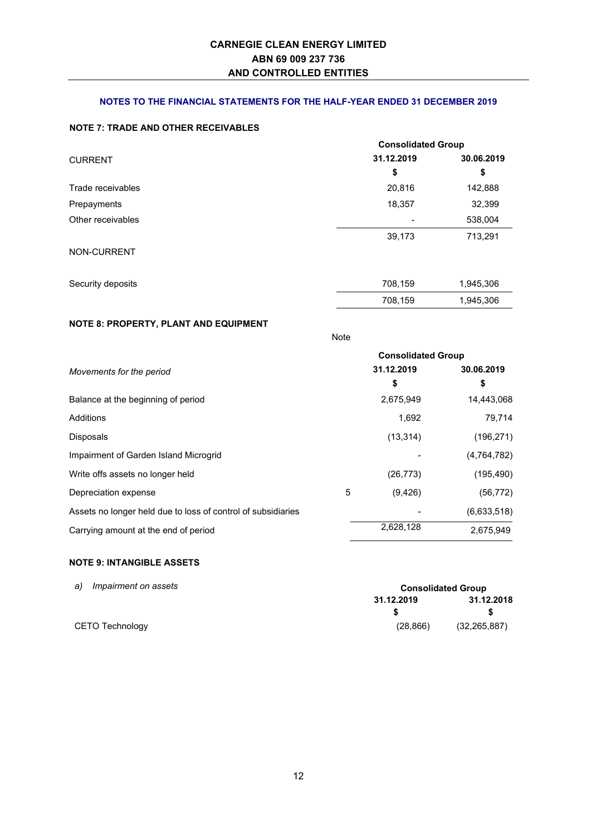#### **NOTES TO THE FINANCIAL STATEMENTS FOR THE HALF-YEAR ENDED 31 DECEMBER 2019**

#### **NOTE 7: TRADE AND OTHER RECEIVABLES**

|                   |            | <b>Consolidated Group</b> |  |  |
|-------------------|------------|---------------------------|--|--|
| <b>CURRENT</b>    | 31.12.2019 | 30.06.2019                |  |  |
|                   | \$         | \$                        |  |  |
| Trade receivables | 20,816     | 142,888                   |  |  |
| Prepayments       | 18,357     | 32,399                    |  |  |
| Other receivables |            | 538,004                   |  |  |
|                   | 39,173     | 713,291                   |  |  |
| NON-CURRENT       |            |                           |  |  |
| Security deposits | 708,159    | 1,945,306                 |  |  |
|                   | 708,159    | 1,945,306                 |  |  |

## **NOTE 8: PROPERTY, PLANT AND EQUIPMENT**

|                                                              |   |            | <b>Consolidated Group</b> |
|--------------------------------------------------------------|---|------------|---------------------------|
| Movements for the period                                     |   | 31.12.2019 | 30.06.2019                |
|                                                              |   | \$         | \$                        |
| Balance at the beginning of period                           |   | 2,675,949  | 14,443,068                |
| Additions                                                    |   | 1,692      | 79,714                    |
| <b>Disposals</b>                                             |   | (13, 314)  | (196, 271)                |
| Impairment of Garden Island Microgrid                        |   |            | (4, 764, 782)             |
| Write offs assets no longer held                             |   | (26, 773)  | (195, 490)                |
| Depreciation expense                                         | 5 | (9, 426)   | (56, 772)                 |
| Assets no longer held due to loss of control of subsidiaries |   |            | (6,633,518)               |
| Carrying amount at the end of period                         |   | 2,628,128  | 2,675,949                 |

Note

#### **NOTE 9: INTANGIBLE ASSETS**

| a)<br>Impairment on assets |            | <b>Consolidated Group</b> |
|----------------------------|------------|---------------------------|
|                            | 31.12.2019 | 31.12.2018                |
|                            |            |                           |
| CETO Technology            | (28, 866)  | (32, 265, 887)            |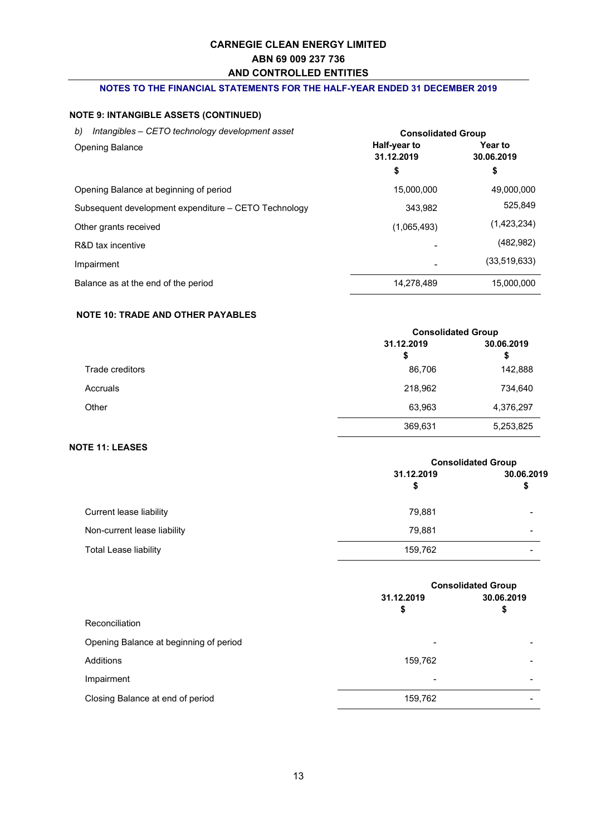#### **NOTES TO THE FINANCIAL STATEMENTS FOR THE HALF-YEAR ENDED 31 DECEMBER 2019**

## **NOTE 9: INTANGIBLE ASSETS (CONTINUED)**

| Intangibles - CETO technology development asset<br>b) | <b>Consolidated Group</b>  |                              |
|-------------------------------------------------------|----------------------------|------------------------------|
| <b>Opening Balance</b>                                | Half-year to<br>31.12.2019 | <b>Year to</b><br>30.06.2019 |
|                                                       | \$                         | \$                           |
| Opening Balance at beginning of period                | 15.000.000                 | 49,000,000                   |
| Subsequent development expenditure – CETO Technology  | 343.982                    | 525.849                      |
| Other grants received                                 | (1,065,493)                | (1,423,234)                  |
| R&D tax incentive                                     |                            | (482, 982)                   |
| Impairment                                            |                            | (33,519,633)                 |
| Balance as at the end of the period                   | 14.278.489                 | 15.000.000                   |

#### **NOTE 10: TRADE AND OTHER PAYABLES**

|                 |            | <b>Consolidated Group</b> |  |
|-----------------|------------|---------------------------|--|
|                 | 31.12.2019 | 30.06.2019                |  |
|                 | \$         | \$                        |  |
| Trade creditors | 86,706     | 142,888                   |  |
| Accruals        | 218,962    | 734,640                   |  |
| Other           | 63,963     | 4,376,297                 |  |
|                 | 369,631    | 5,253,825                 |  |

#### **NOTE 11: LEASES**

|                              |                  | <b>Consolidated Group</b> |  |
|------------------------------|------------------|---------------------------|--|
|                              | 31.12.2019<br>\$ | 30.06.2019                |  |
| Current lease liability      | 79,881           |                           |  |
| Non-current lease liability  | 79.881           | -                         |  |
| <b>Total Lease liability</b> | 159,762          |                           |  |

|                                        | <b>Consolidated Group</b> |            |
|----------------------------------------|---------------------------|------------|
|                                        | 31.12.2019                | 30.06.2019 |
|                                        | \$                        | \$         |
| Reconciliation                         |                           |            |
| Opening Balance at beginning of period | $\blacksquare$            |            |
| Additions                              | 159,762                   |            |
| Impairment                             | $\,$                      | -          |
| Closing Balance at end of period       | 159,762                   |            |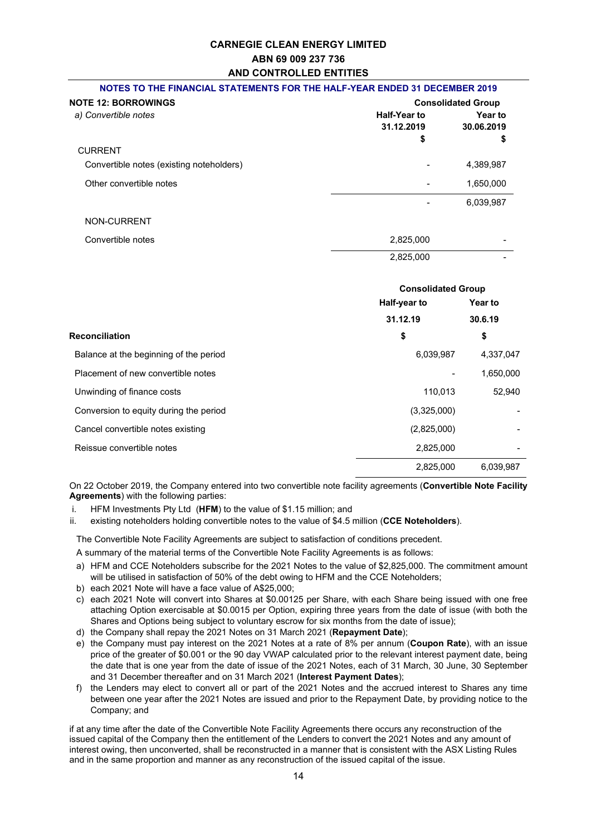## **CARNEGIE CLEAN ENERGY LIMITED ABN 69 009 237 736 AND CONTROLLED ENTITIES NOTES TO THE FINANCIAL STATEMENTS FOR THE HALF-YEAR ENDED 31 DECEMBER 2019**

| <u>no ilo to the i invincine circilemento i circile ilian</u> | .                                       |                             |
|---------------------------------------------------------------|-----------------------------------------|-----------------------------|
| <b>NOTE 12: BORROWINGS</b>                                    | <b>Consolidated Group</b>               |                             |
| a) Convertible notes                                          | <b>Half-Year to</b><br>31.12.2019<br>\$ | Year to<br>30.06.2019<br>\$ |
| <b>CURRENT</b>                                                |                                         |                             |
| Convertible notes (existing noteholders)                      |                                         | 4,389,987                   |
| Other convertible notes                                       |                                         | 1,650,000                   |
|                                                               |                                         | 6,039,987                   |
| NON-CURRENT                                                   |                                         |                             |
| Convertible notes                                             | 2,825,000                               |                             |
|                                                               | 2.825.000                               |                             |

|                                        | <b>Consolidated Group</b> |                |
|----------------------------------------|---------------------------|----------------|
|                                        | Half-year to              | <b>Year to</b> |
|                                        | 31.12.19                  | 30.6.19        |
| <b>Reconciliation</b>                  | \$                        | \$             |
| Balance at the beginning of the period | 6,039,987                 | 4,337,047      |
| Placement of new convertible notes     |                           | 1,650,000      |
| Unwinding of finance costs             | 110,013                   | 52,940         |
| Conversion to equity during the period | (3,325,000)               |                |
| Cancel convertible notes existing      | (2,825,000)               |                |
| Reissue convertible notes              | 2,825,000                 |                |
|                                        | 2,825,000                 | 6.039.987      |

On 22 October 2019, the Company entered into two convertible note facility agreements (**Convertible Note Facility Agreements**) with the following parties:

- i. HFM Investments Pty Ltd (**HFM**) to the value of \$1.15 million; and
- ii. existing noteholders holding convertible notes to the value of \$4.5 million (**CCE Noteholders**).

The Convertible Note Facility Agreements are subject to satisfaction of conditions precedent.

A summary of the material terms of the Convertible Note Facility Agreements is as follows:

- a) HFM and CCE Noteholders subscribe for the 2021 Notes to the value of \$2,825,000. The commitment amount will be utilised in satisfaction of 50% of the debt owing to HFM and the CCE Noteholders;
- b) each 2021 Note will have a face value of A\$25,000;
- c) each 2021 Note will convert into Shares at \$0.00125 per Share, with each Share being issued with one free attaching Option exercisable at \$0.0015 per Option, expiring three years from the date of issue (with both the Shares and Options being subject to voluntary escrow for six months from the date of issue);
- d) the Company shall repay the 2021 Notes on 31 March 2021 (**Repayment Date**);
- e) the Company must pay interest on the 2021 Notes at a rate of 8% per annum (**Coupon Rate**), with an issue price of the greater of \$0.001 or the 90 day VWAP calculated prior to the relevant interest payment date, being the date that is one year from the date of issue of the 2021 Notes, each of 31 March, 30 June, 30 September and 31 December thereafter and on 31 March 2021 (**Interest Payment Dates**);
- f) the Lenders may elect to convert all or part of the 2021 Notes and the accrued interest to Shares any time between one year after the 2021 Notes are issued and prior to the Repayment Date, by providing notice to the Company; and

if at any time after the date of the Convertible Note Facility Agreements there occurs any reconstruction of the issued capital of the Company then the entitlement of the Lenders to convert the 2021 Notes and any amount of interest owing, then unconverted, shall be reconstructed in a manner that is consistent with the ASX Listing Rules and in the same proportion and manner as any reconstruction of the issued capital of the issue.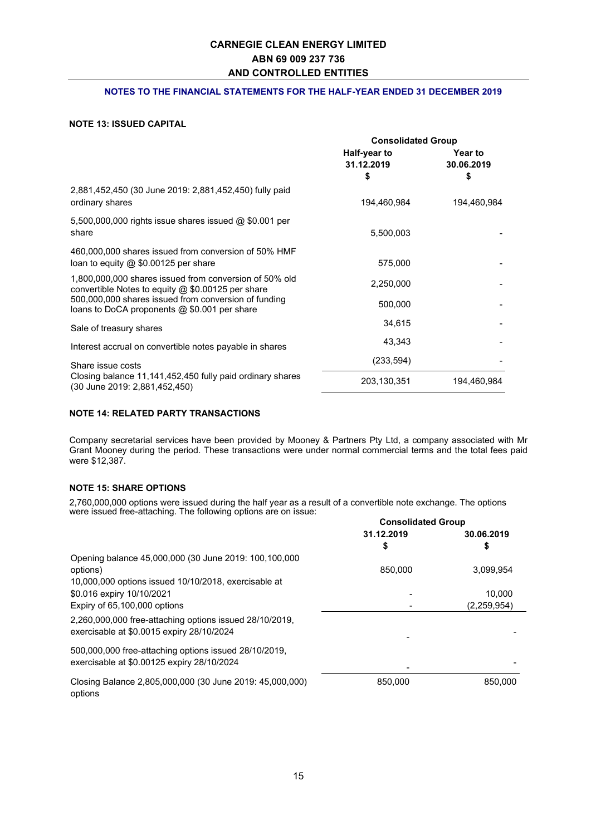#### **NOTES TO THE FINANCIAL STATEMENTS FOR THE HALF-YEAR ENDED 31 DECEMBER 2019**

#### **NOTE 13: ISSUED CAPITAL**

|                                                                                                               | <b>Consolidated Group</b>        |                                    |
|---------------------------------------------------------------------------------------------------------------|----------------------------------|------------------------------------|
|                                                                                                               | Half-year to<br>31.12.2019<br>\$ | <b>Year to</b><br>30.06.2019<br>\$ |
| 2,881,452,450 (30 June 2019: 2,881,452,450) fully paid<br>ordinary shares                                     | 194,460,984                      | 194,460,984                        |
| 5,500,000,000 rights issue shares issued $@$ \$0.001 per<br>share                                             | 5,500,003                        |                                    |
| 460,000,000 shares issued from conversion of 50% HMF<br>loan to equity $@$ \$0.00125 per share                | 575,000                          |                                    |
| 1,800,000,000 shares issued from conversion of 50% old<br>convertible Notes to equity $@$ \$0.00125 per share | 2,250,000                        |                                    |
| 500,000,000 shares issued from conversion of funding<br>loans to DoCA proponents $@$ \$0.001 per share        | 500,000                          |                                    |
| Sale of treasury shares                                                                                       | 34,615                           |                                    |
| Interest accrual on convertible notes payable in shares                                                       | 43,343                           |                                    |
| Share issue costs                                                                                             | (233, 594)                       |                                    |
| Closing balance 11,141,452,450 fully paid ordinary shares<br>(30 June 2019: 2,881,452,450)                    | 203,130,351                      | 194,460,984                        |

#### **NOTE 14: RELATED PARTY TRANSACTIONS**

Company secretarial services have been provided by Mooney & Partners Pty Ltd, a company associated with Mr Grant Mooney during the period. These transactions were under normal commercial terms and the total fees paid were \$12,387.

#### **NOTE 15: SHARE OPTIONS**

2,760,000,000 options were issued during the half year as a result of a convertible note exchange. The options were issued free-attaching. The following options are on issue:

|                                                          | <b>Consolidated Group</b> |               |
|----------------------------------------------------------|---------------------------|---------------|
|                                                          | 31.12.2019                | 30.06.2019    |
|                                                          | \$                        |               |
| Opening balance 45,000,000 (30 June 2019: 100,100,000    |                           |               |
| options)                                                 | 850,000                   | 3,099,954     |
| 10,000,000 options issued 10/10/2018, exercisable at     |                           |               |
| \$0.016 expiry 10/10/2021                                |                           | 10,000        |
| Expiry of 65,100,000 options                             |                           | (2, 259, 954) |
| 2,260,000,000 free-attaching options issued 28/10/2019,  |                           |               |
| exercisable at \$0.0015 expiry 28/10/2024                |                           |               |
| 500,000,000 free-attaching options issued 28/10/2019,    |                           |               |
| exercisable at \$0.00125 expiry 28/10/2024               |                           |               |
|                                                          |                           |               |
| Closing Balance 2,805,000,000 (30 June 2019: 45,000,000) | 850,000                   | 850.000       |
| options                                                  |                           |               |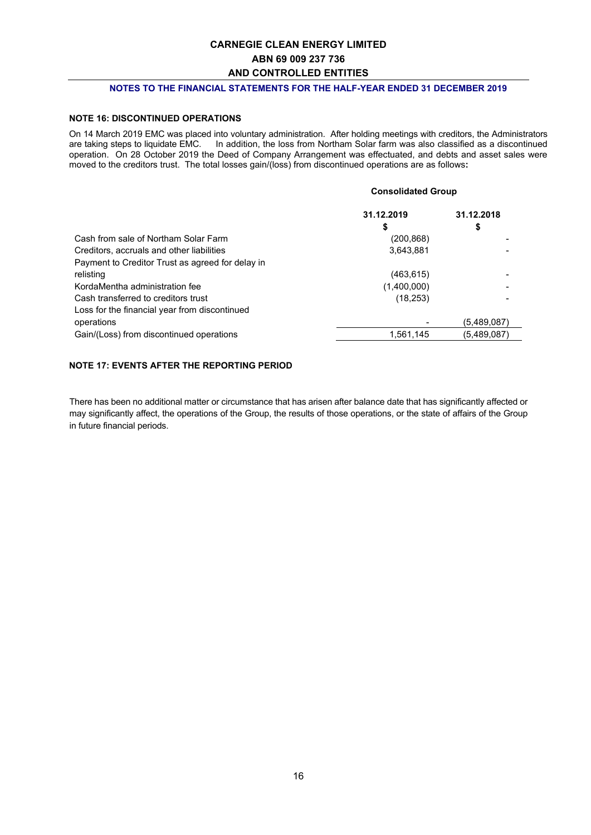#### **NOTES TO THE FINANCIAL STATEMENTS FOR THE HALF-YEAR ENDED 31 DECEMBER 2019**

#### **NOTE 16: DISCONTINUED OPERATIONS**

On 14 March 2019 EMC was placed into voluntary administration. After holding meetings with creditors, the Administrators are taking steps to liquidate EMC. In addition, the loss from Northam Solar farm was also classified as a discontinued operation. On 28 October 2019 the Deed of Company Arrangement was effectuated, and debts and asset sales were moved to the creditors trust. The total losses gain/(loss) from discontinued operations are as follows**:**

#### **Consolidated Group**

|                                                  | 31.12.2019  | 31.12.2018  |
|--------------------------------------------------|-------------|-------------|
|                                                  | \$          | \$          |
| Cash from sale of Northam Solar Farm             | (200, 868)  |             |
| Creditors, accruals and other liabilities        | 3,643,881   |             |
| Payment to Creditor Trust as agreed for delay in |             |             |
| relisting                                        | (463, 615)  |             |
| KordaMentha administration fee                   | (1,400,000) |             |
| Cash transferred to creditors trust              | (18, 253)   |             |
| Loss for the financial year from discontinued    |             |             |
| operations                                       |             | (5,489,087) |
| Gain/(Loss) from discontinued operations         | 1,561,145   | (5,489,087) |
|                                                  |             |             |

#### **NOTE 17: EVENTS AFTER THE REPORTING PERIOD**

There has been no additional matter or circumstance that has arisen after balance date that has significantly affected or may significantly affect, the operations of the Group, the results of those operations, or the state of affairs of the Group in future financial periods.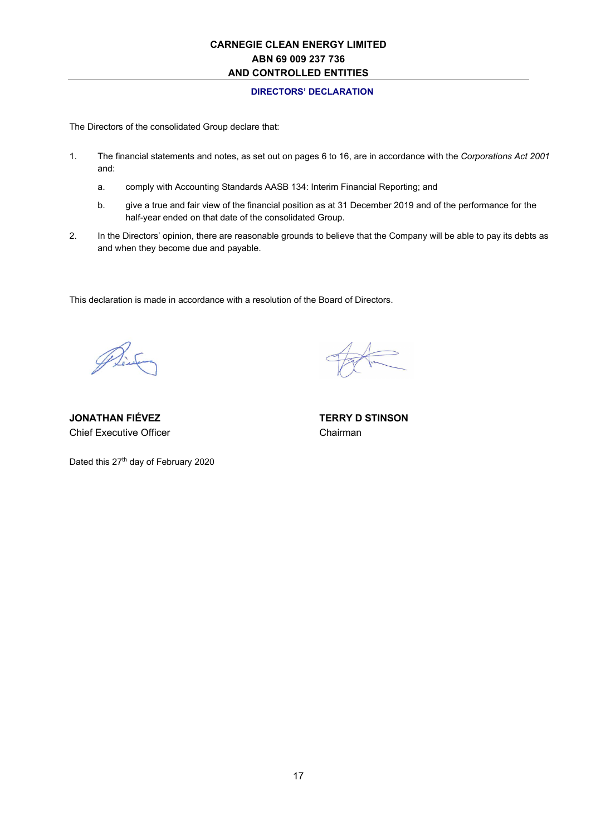#### **DIRECTORS' DECLARATION**

The Directors of the consolidated Group declare that:

- 1. The financial statements and notes, as set out on pages 6 to 16, are in accordance with the *Corporations Act 2001* and:
	- a. comply with Accounting Standards AASB 134: Interim Financial Reporting; and
	- b. give a true and fair view of the financial position as at 31 December 2019 and of the performance for the half-year ended on that date of the consolidated Group.
- 2. In the Directors' opinion, there are reasonable grounds to believe that the Company will be able to pay its debts as and when they become due and payable.

This declaration is made in accordance with a resolution of the Board of Directors.

Pint

**JONATHAN FIÉVEZ TERRY D STINSON**  Chief Executive Officer Chairman

Dated this 27<sup>th</sup> day of February 2020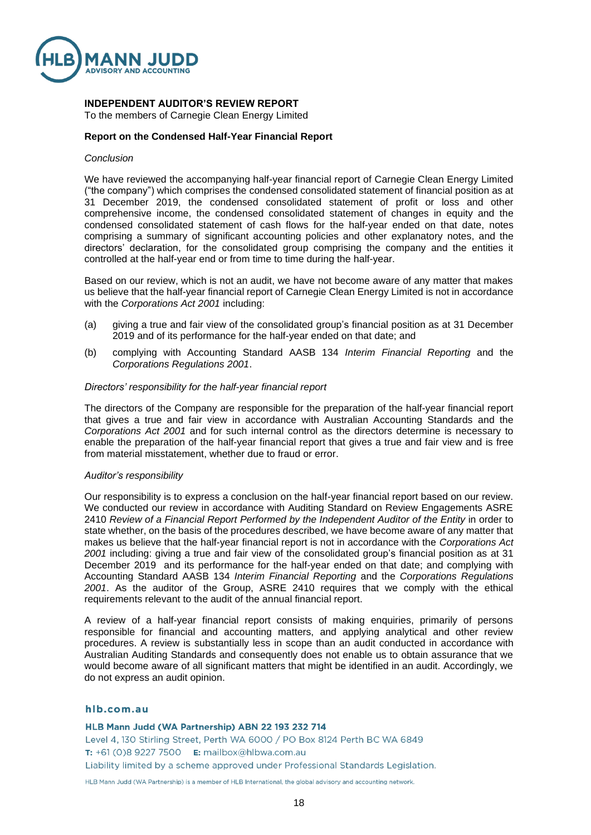

### **INDEPENDENT AUDITOR'S REVIEW REPORT**

To the members of Carnegie Clean Energy Limited

#### **Report on the Condensed Half-Year Financial Report**

#### *Conclusion*

We have reviewed the accompanying half-year financial report of Carnegie Clean Energy Limited ("the company") which comprises the condensed consolidated statement of financial position as at 31 December 2019, the condensed consolidated statement of profit or loss and other comprehensive income, the condensed consolidated statement of changes in equity and the condensed consolidated statement of cash flows for the half-year ended on that date, notes comprising a summary of significant accounting policies and other explanatory notes, and the directors' declaration, for the consolidated group comprising the company and the entities it controlled at the half-year end or from time to time during the half-year.

Based on our review, which is not an audit, we have not become aware of any matter that makes us believe that the half-year financial report of Carnegie Clean Energy Limited is not in accordance with the *Corporations Act 2001* including:

- (a) giving a true and fair view of the consolidated group's financial position as at 31 December 2019 and of its performance for the half-year ended on that date; and
- (b) complying with Accounting Standard AASB 134 *Interim Financial Reporting* and the *Corporations Regulations 2001*.

#### *Directors' responsibility for the half-year financial report*

The directors of the Company are responsible for the preparation of the half-year financial report that gives a true and fair view in accordance with Australian Accounting Standards and the *Corporations Act 2001* and for such internal control as the directors determine is necessary to enable the preparation of the half-year financial report that gives a true and fair view and is free from material misstatement, whether due to fraud or error.

#### *Auditor's responsibility*

Our responsibility is to express a conclusion on the half-year financial report based on our review. We conducted our review in accordance with Auditing Standard on Review Engagements ASRE 2410 *Review of a Financial Report Performed by the Independent Auditor of the Entity* in order to state whether, on the basis of the procedures described, we have become aware of any matter that makes us believe that the half-year financial report is not in accordance with the *Corporations Act 2001* including: giving a true and fair view of the consolidated group's financial position as at 31 December 2019 and its performance for the half-year ended on that date; and complying with Accounting Standard AASB 134 *Interim Financial Reporting* and the *Corporations Regulations 2001*. As the auditor of the Group, ASRE 2410 requires that we comply with the ethical requirements relevant to the audit of the annual financial report.

A review of a half-year financial report consists of making enquiries, primarily of persons responsible for financial and accounting matters, and applying analytical and other review procedures. A review is substantially less in scope than an audit conducted in accordance with Australian Auditing Standards and consequently does not enable us to obtain assurance that we would become aware of all significant matters that might be identified in an audit. Accordingly, we do not express an audit opinion.

#### hlb.com.au

HLB Mann Judd (WA Partnership) ABN 22 193 232 714 Level 4, 130 Stirling Street, Perth WA 6000 / PO Box 8124 Perth BC WA 6849 **T:** +61 (0)8 9227 7500 **E:** mailbox@hlbwa.com.au Liability limited by a scheme approved under Professional Standards Legislation.

HLB Mann Judd (WA Partnership) is a member of HLB International, the global advisory and accounting network.